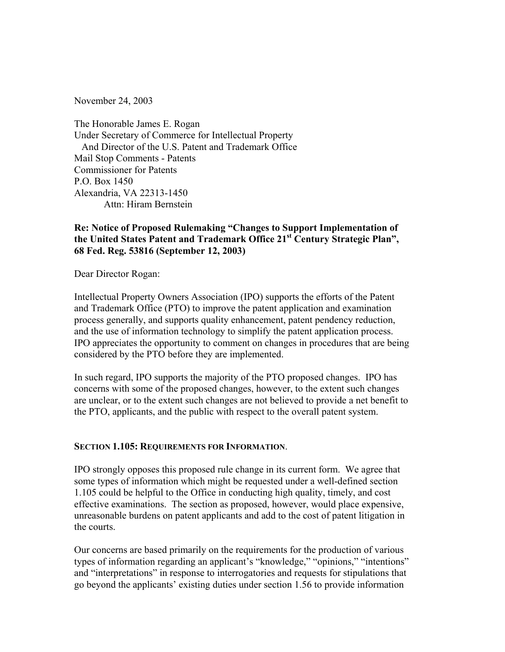November 24, 2003

The Honorable James E. Rogan Under Secretary of Commerce for Intellectual Property And Director of the U.S. Patent and Trademark Office Mail Stop Comments - Patents Commissioner for Patents P.O. Box 1450 Alexandria, VA 22313-1450 Attn: Hiram Bernstein

## **Re: Notice of Proposed Rulemaking "Changes to Support Implementation of the United States Patent and Trademark Office 21st Century Strategic Plan", 68 Fed. Reg. 53816 (September 12, 2003)**

Dear Director Rogan:

Intellectual Property Owners Association (IPO) supports the efforts of the Patent and Trademark Office (PTO) to improve the patent application and examination process generally, and supports quality enhancement, patent pendency reduction, and the use of information technology to simplify the patent application process. IPO appreciates the opportunity to comment on changes in procedures that are being considered by the PTO before they are implemented.

In such regard, IPO supports the majority of the PTO proposed changes. IPO has concerns with some of the proposed changes, however, to the extent such changes are unclear, or to the extent such changes are not believed to provide a net benefit to the PTO, applicants, and the public with respect to the overall patent system.

### **SECTION 1.105: REQUIREMENTS FOR INFORMATION**.

IPO strongly opposes this proposed rule change in its current form. We agree that some types of information which might be requested under a well-defined section 1.105 could be helpful to the Office in conducting high quality, timely, and cost effective examinations. The section as proposed, however, would place expensive, unreasonable burdens on patent applicants and add to the cost of patent litigation in the courts.

Our concerns are based primarily on the requirements for the production of various types of information regarding an applicant's "knowledge," "opinions," "intentions" and "interpretations" in response to interrogatories and requests for stipulations that go beyond the applicants' existing duties under section 1.56 to provide information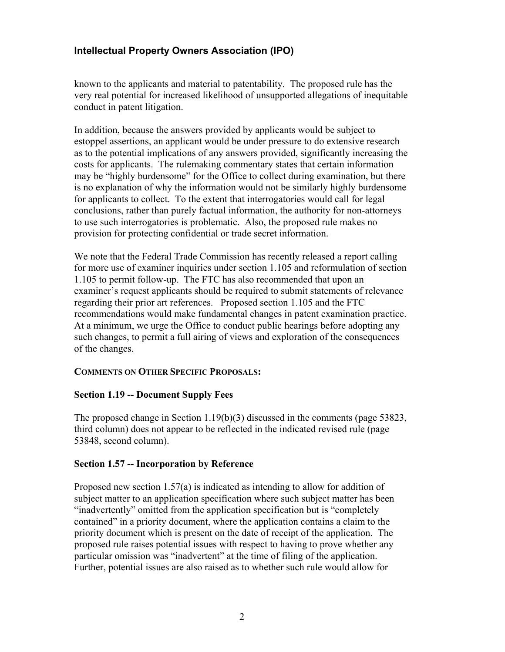# **Intellectual Property Owners Association (IPO)**

known to the applicants and material to patentability. The proposed rule has the very real potential for increased likelihood of unsupported allegations of inequitable conduct in patent litigation.

In addition, because the answers provided by applicants would be subject to estoppel assertions, an applicant would be under pressure to do extensive research as to the potential implications of any answers provided, significantly increasing the costs for applicants. The rulemaking commentary states that certain information may be "highly burdensome" for the Office to collect during examination, but there is no explanation of why the information would not be similarly highly burdensome for applicants to collect. To the extent that interrogatories would call for legal conclusions, rather than purely factual information, the authority for non-attorneys to use such interrogatories is problematic. Also, the proposed rule makes no provision for protecting confidential or trade secret information.

We note that the Federal Trade Commission has recently released a report calling for more use of examiner inquiries under section 1.105 and reformulation of section 1.105 to permit follow-up. The FTC has also recommended that upon an examiner's request applicants should be required to submit statements of relevance regarding their prior art references. Proposed section 1.105 and the FTC recommendations would make fundamental changes in patent examination practice. At a minimum, we urge the Office to conduct public hearings before adopting any such changes, to permit a full airing of views and exploration of the consequences of the changes.

### **COMMENTS ON OTHER SPECIFIC PROPOSALS:**

### **Section 1.19 -- Document Supply Fees**

The proposed change in Section 1.19(b)(3) discussed in the comments (page 53823, third column) does not appear to be reflected in the indicated revised rule (page 53848, second column).

### **Section 1.57 -- Incorporation by Reference**

Proposed new section 1.57(a) is indicated as intending to allow for addition of subject matter to an application specification where such subject matter has been "inadvertently" omitted from the application specification but is "completely contained" in a priority document, where the application contains a claim to the priority document which is present on the date of receipt of the application. The proposed rule raises potential issues with respect to having to prove whether any particular omission was "inadvertent" at the time of filing of the application. Further, potential issues are also raised as to whether such rule would allow for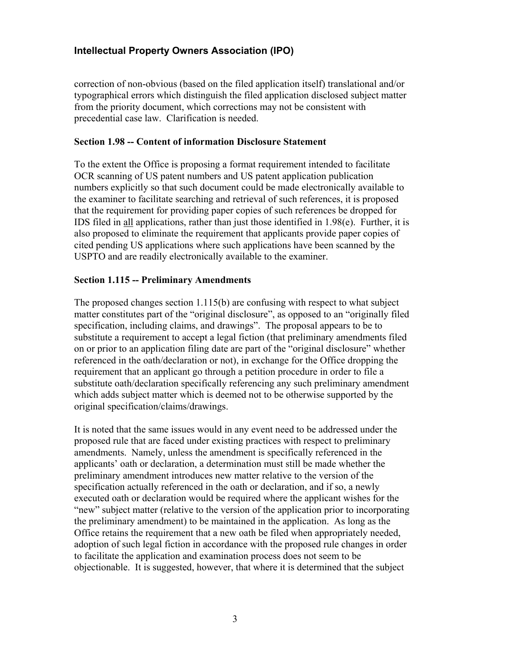# **Intellectual Property Owners Association (IPO)**

correction of non-obvious (based on the filed application itself) translational and/or typographical errors which distinguish the filed application disclosed subject matter from the priority document, which corrections may not be consistent with precedential case law. Clarification is needed.

#### **Section 1.98 -- Content of information Disclosure Statement**

To the extent the Office is proposing a format requirement intended to facilitate OCR scanning of US patent numbers and US patent application publication numbers explicitly so that such document could be made electronically available to the examiner to facilitate searching and retrieval of such references, it is proposed that the requirement for providing paper copies of such references be dropped for IDS filed in all applications, rather than just those identified in 1.98(e). Further, it is also proposed to eliminate the requirement that applicants provide paper copies of cited pending US applications where such applications have been scanned by the USPTO and are readily electronically available to the examiner.

#### **Section 1.115 -- Preliminary Amendments**

The proposed changes section 1.115(b) are confusing with respect to what subject matter constitutes part of the "original disclosure", as opposed to an "originally filed specification, including claims, and drawings". The proposal appears to be to substitute a requirement to accept a legal fiction (that preliminary amendments filed on or prior to an application filing date are part of the "original disclosure" whether referenced in the oath/declaration or not), in exchange for the Office dropping the requirement that an applicant go through a petition procedure in order to file a substitute oath/declaration specifically referencing any such preliminary amendment which adds subject matter which is deemed not to be otherwise supported by the original specification/claims/drawings.

It is noted that the same issues would in any event need to be addressed under the proposed rule that are faced under existing practices with respect to preliminary amendments. Namely, unless the amendment is specifically referenced in the applicants' oath or declaration, a determination must still be made whether the preliminary amendment introduces new matter relative to the version of the specification actually referenced in the oath or declaration, and if so, a newly executed oath or declaration would be required where the applicant wishes for the "new" subject matter (relative to the version of the application prior to incorporating the preliminary amendment) to be maintained in the application. As long as the Office retains the requirement that a new oath be filed when appropriately needed, adoption of such legal fiction in accordance with the proposed rule changes in order to facilitate the application and examination process does not seem to be objectionable. It is suggested, however, that where it is determined that the subject